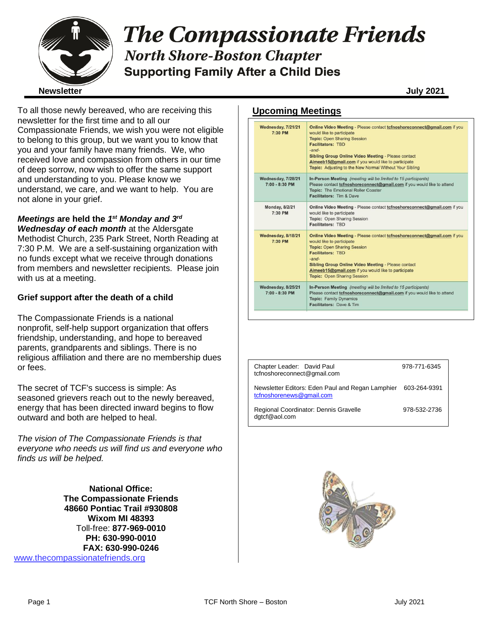

# **The Compassionate Friends North Shore-Boston Chapter Supporting Family After a Child Dies**

To all those newly bereaved, who are receiving this newsletter for the first time and to all our Compassionate Friends, we wish you were not eligible to belong to this group, but we want you to know that you and your family have many friends. We, who received love and compassion from others in our time of deep sorrow, now wish to offer the same support and understanding to you. Please know we understand, we care, and we want to help. You are not alone in your grief.

### *Meetings* **are held the** *1 st Monday and 3rd*

*Wednesday of each month* at the Aldersgate Methodist Church, 235 Park Street, North Reading at 7:30 P.M. We are a self-sustaining organization with no funds except what we receive through donations from members and newsletter recipients. Please join with us at a meeting.

#### **Grief support after the death of a child**

The Compassionate Friends is a national nonprofit, self-help support organization that offers friendship, understanding, and hope to bereaved parents, grandparents and siblings. There is no religious affiliation and there are no membership dues or fees.

The secret of TCF's success is simple: As seasoned grievers reach out to the newly bereaved, energy that has been directed inward begins to flow outward and both are helped to heal.

*The vision of The Compassionate Friends is that everyone who needs us will find us and everyone who finds us will be helped.*

**National Office: The Compassionate Friends 48660 Pontiac Trail #930808 Wixom MI 48393** Toll-free: **877-969-0010 PH: 630-990-0010 FAX: 630-990-0246** [www.thecompassionatefriends.org](http://www.thecompassionatefriends.org/)

#### **Upcoming Meetings**

| Wednesday, 7/21/21<br>7:30 PM          | Online Video Meeting - Please contact to fnoshore connect@gmail.com if you<br>would like to participate<br><b>Topic: Open Sharing Session</b><br><b>Facilitators: TBD</b><br>$-$ and $-$<br><b>Sibling Group Online Video Meeting - Please contact</b><br>Aimeeb15@gmail.com if you would like to participate<br>Topic: Adjusting to the New Normal Without Your Sibling |
|----------------------------------------|--------------------------------------------------------------------------------------------------------------------------------------------------------------------------------------------------------------------------------------------------------------------------------------------------------------------------------------------------------------------------|
| Wednesday, 7/28/21<br>7:00 - 8:30 PM   | In-Person Meeting (meeting will be limited to 15 participants)<br>Please contact tcfnoshoreconnect@gmail.com if you would like to attend<br><b>Topic: The Emotional Roller Coaster</b><br>Facilitators: Tim & Dave                                                                                                                                                       |
| <b>Monday, 8/2/21</b><br>7:30 PM       | Online Video Meeting - Please contact tofnoshoreconnect@gmail.com if you<br>would like to participate<br>Topic: Open Sharing Session<br><b>Facilitators: TBD</b>                                                                                                                                                                                                         |
| Wednesday, 8/18/21<br>7:30 PM          | Online Video Meeting - Please contact to fnoshore connect@gmail.com if you<br>would like to participate<br><b>Topic: Open Sharing Session</b><br><b>Facilitators: TBD</b><br>$-$ and $-$<br><b>Sibling Group Online Video Meeting - Please contact</b><br>Aimeeb15@gmail.com if you would like to participate<br><b>Topic: Open Sharing Session</b>                      |
| Wednesday, 8/25/21<br>$7:00 - 8:30$ PM | In-Person Meeting (meeting will be limited to 15 participants)<br>Please contact tcfnoshoreconnect@gmail.com if you would like to attend<br><b>Topic: Family Dynamics</b><br>Facilitators: Dave & Tim.                                                                                                                                                                   |

| Chapter Leader: David Paul<br>tcfnoshoreconnect@gmail.com                                 | 978-771-6345 |
|-------------------------------------------------------------------------------------------|--------------|
| Newsletter Editors: Eden Paul and Regan Lamphier 603-264-9391<br>tcfnoshorenews@gmail.com |              |
| Regional Coordinator: Dennis Gravelle<br>dgtcf@aol.com                                    | 978-532-2736 |

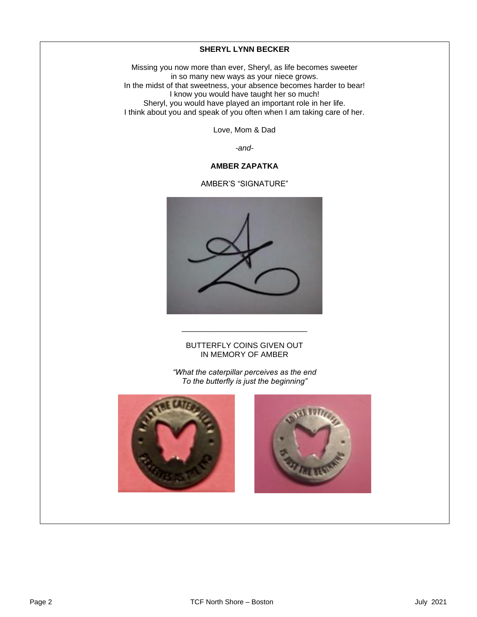#### **SHERYL LYNN BECKER**

 Missing you now more than ever, Sheryl, as life becomes sweeter in so many new ways as your niece grows. I mat sweethess, your absence becomes have<br>I know you would have taught her so much! Sheryl, you would have played an important role in her life.<br>I think about you and speak of you often when I am taking care of her. In the midst of that sweetness, your absence becomes harder to bear! Sheryl, you would have played an important role in her life.

Love, Mom & Dad

*-and-*

#### **AMBER ZAPATKA**

AMBER'S "SIGNATURE"



#### BUTTERFLY COINS GIVEN OUT IN MEMORY OF AMBER

\_\_\_\_\_\_\_\_\_\_\_\_\_\_\_\_\_\_\_\_\_\_\_\_\_\_\_\_\_

*"What the caterpillar perceives as the end To the butterfly is just the beginning"*



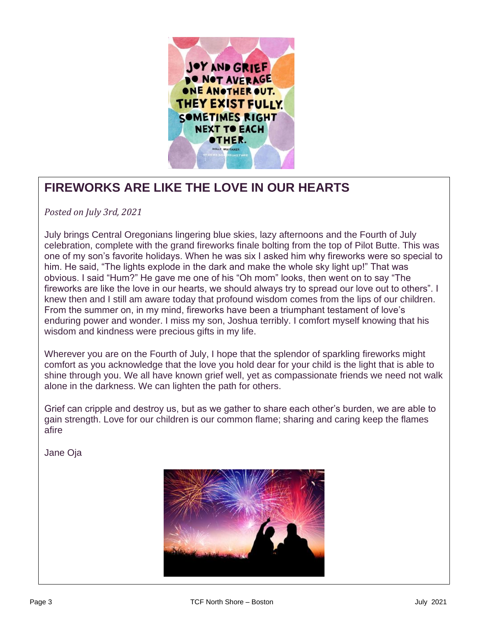

# **FIREWORKS ARE LIKE THE LOVE IN OUR HEARTS**

*Posted on July 3rd, 2021*

July brings Central Oregonians lingering blue skies, lazy afternoons and the Fourth of July<br>celebration, complete with the grand fireworks finale bolting from the top of Pilot Butte. This was  one of my son's favorite holidays. When he was six I asked him why fireworks were so special to him. He said, "The lights explode in the dark and make the whole sky light up!" That was<br>obvious, Laaid "Hum?" He gave me one of his "Ob mom" looks, then went on to say "The  fireworks are like the love in our hearts, we should always try to spread our love out to others". I knew then and I still am aware today that profound wisdom comes from the lips of our children.<br>From the summer on, in my mind, firewarks hove been a triumphent testament of love's  enduring power and wonder. I miss my son, Joshua terribly. I comfort myself knowing that his wisdom and kindness were precious gifts in my life. July brings Central Oregonians lingering blue skies, lazy afternoons and the Fourth of July obvious. I said "Hum?" He gave me one of his "Oh mom" looks, then went on to say "The From the summer on, in my mind, fireworks have been a triumphant testament of love's

 Wherever you are on the Fourth of July, I hope that the splendor of sparkling fireworks might comfort as you acknowledge that the love you hold dear for your child is the light that is able to shine through you. We all have known grief well, yet as compassionate friends we need not walk alone in the darkness. We can lighten the path for others.

Grief can cripple and destroy us, but as we gather to share each other's burden, we are able to<br>gain strepath, Love for our children is our common flame; sharing and caring koop the flames  gain strength. Love for our children is our common flame; sharing and caring keep the flames afire

Jane Oja

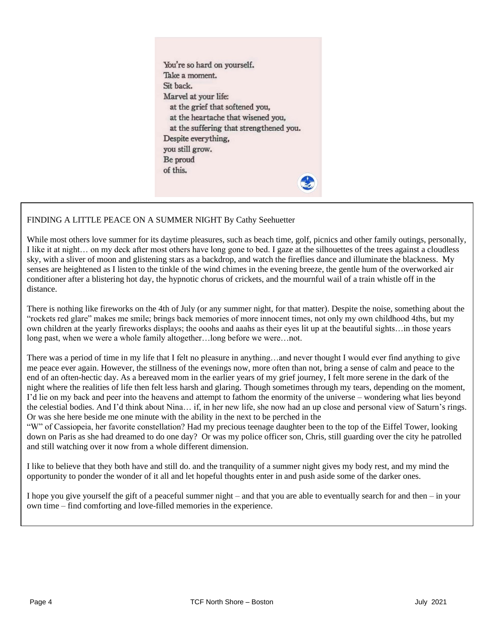You're so hard on yourself. Take a moment. Sit back. Marvel at your life: at the grief that softened you, at the heartache that wisened you, at the suffering that strengthened you. Despite everything, you still grow. Be proud of this.

#### FINDING A LITTLE PEACE ON A SUMMER NIGHT By Cathy Seehuetter

While most others love summer for its daytime pleasures, such as beach time, golf, picnics and other family outings, personally, I like it at night… on my deck after most others have long gone to bed. I gaze at the silhouettes of the trees against a cloudless sky, with a sliver of moon and glistening stars as a backdrop, and watch the fireflies dance and illuminate the blackness. My senses are heightened as I listen to the tinkle of the wind chimes in the evening breeze, the gentle hum of the overworked air conditioner after a blistering hot day, the hypnotic chorus of crickets, and the mournful wail of a train whistle off in the distance.

There is nothing like fireworks on the 4th of July (or any summer night, for that matter). Despite the noise, something about the "rockets red glare" makes me smile; brings back memories of more innocent times, not only my own childhood 4ths, but my own children at the yearly fireworks displays; the ooohs and aaahs as their eyes lit up at the beautiful sights…in those years long past, when we were a whole family altogether…long before we were…not.

There was a period of time in my life that I felt no pleasure in anything…and never thought I would ever find anything to give me peace ever again. However, the stillness of the evenings now, more often than not, bring a sense of calm and peace to the end of an often-hectic day. As a bereaved mom in the earlier years of my grief journey, I felt more serene in the dark of the night where the realities of life then felt less harsh and glaring. Though sometimes through my tears, depending on the moment, I'd lie on my back and peer into the heavens and attempt to fathom the enormity of the universe – wondering what lies beyond the celestial bodies. And I'd think about Nina… if, in her new life, she now had an up close and personal view of Saturn's rings. Or was she here beside me one minute with the ability in the next to be perched in the

"W" of Cassiopeia, her favorite constellation? Had my precious teenage daughter been to the top of the Eiffel Tower, looking down on Paris as she had dreamed to do one day? Or was my police officer son, Chris, still guarding over the city he patrolled and still watching over it now from a whole different dimension.

I like to believe that they both have and still do. and the tranquility of a summer night gives my body rest, and my mind the opportunity to ponder the wonder of it all and let hopeful thoughts enter in and push aside some of the darker ones.

I hope you give yourself the gift of a peaceful summer night – and that you are able to eventually search for and then – in your own time – find comforting and love-filled memories in the experience.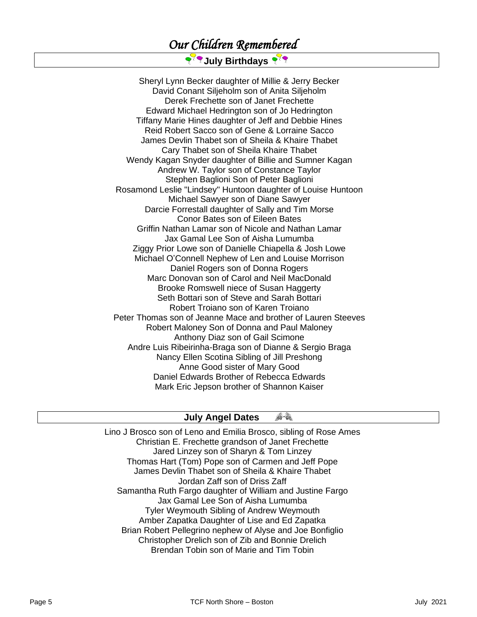# *Our Children Remembered*

### २<sup>२</sup>९ July Birthdays २<sup>२</sup>९

Sheryl Lynn Becker daughter of Millie & Jerry Becker David Conant Siljeholm son of Anita Siljeholm Derek Frechette son of Janet Frechette Edward Michael Hedrington son of Jo Hedrington Tiffany Marie Hines daughter of Jeff and Debbie Hines Reid Robert Sacco son of Gene & Lorraine Sacco James Devlin Thabet son of Sheila & Khaire Thabet Cary Thabet son of Sheila Khaire Thabet Wendy Kagan Snyder daughter of Billie and Sumner Kagan Andrew W. Taylor son of Constance Taylor Stephen Baglioni Son of Peter Baglioni Rosamond Leslie "Lindsey" Huntoon daughter of Louise Huntoon Michael Sawyer son of Diane Sawyer Darcie Forrestall daughter of Sally and Tim Morse Conor Bates son of Eileen Bates Griffin Nathan Lamar son of Nicole and Nathan Lamar Jax Gamal Lee Son of Aisha Lumumba Ziggy Prior Lowe son of Danielle Chiapella & Josh Lowe Michael O'Connell Nephew of Len and Louise Morrison Daniel Rogers son of Donna Rogers Marc Donovan son of Carol and Neil MacDonald Brooke Romswell niece of Susan Haggerty Seth Bottari son of Steve and Sarah Bottari Robert Troiano son of Karen Troiano Peter Thomas son of Jeanne Mace and brother of Lauren Steeves Robert Maloney Son of Donna and Paul Maloney Anthony Diaz son of Gail Scimone Andre Luis Ribeirinha-Braga son of Dianne & Sergio Braga Nancy Ellen Scotina Sibling of Jill Preshong Anne Good sister of Mary Good Daniel Edwards Brother of Rebecca Edwards Mark Eric Jepson brother of Shannon Kaiser

#### A-R **July Angel Dates**

Lino J Brosco son of Leno and Emilia Brosco, sibling of Rose Ames Christian E. Frechette grandson of Janet Frechette Jared Linzey son of Sharyn & Tom Linzey Thomas Hart (Tom) Pope son of Carmen and Jeff Pope James Devlin Thabet son of Sheila & Khaire Thabet Jordan Zaff son of Driss Zaff Samantha Ruth Fargo daughter of William and Justine Fargo Jax Gamal Lee Son of Aisha Lumumba Tyler Weymouth Sibling of Andrew Weymouth Amber Zapatka Daughter of Lise and Ed Zapatka Brian Robert Pellegrino nephew of Alyse and Joe Bonfiglio Christopher Drelich son of Zib and Bonnie Drelich Brendan Tobin son of Marie and Tim Tobin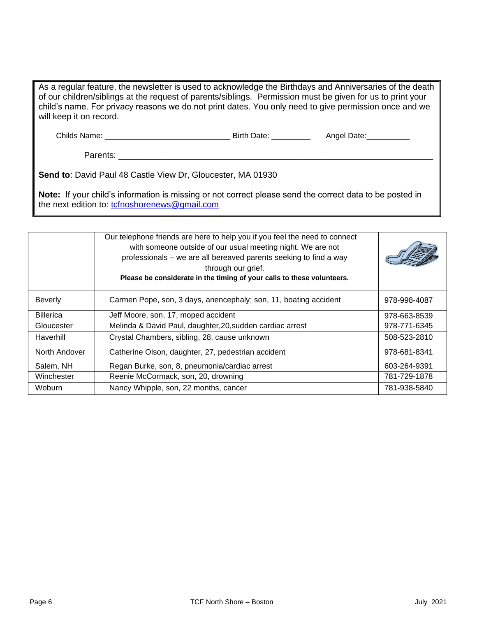| As a regular feature, the newsletter is used to acknowledge the Birthdays and Anniversaries of the death<br>of our children/siblings at the request of parents/siblings. Permission must be given for us to print your<br>child's name. For privacy reasons we do not print dates. You only need to give permission once and we<br>will keep it on record. |                          |             |  |  |
|------------------------------------------------------------------------------------------------------------------------------------------------------------------------------------------------------------------------------------------------------------------------------------------------------------------------------------------------------------|--------------------------|-------------|--|--|
| Childs Name:                                                                                                                                                                                                                                                                                                                                               | Birth Date: North States | Angel Date: |  |  |

Parents: \_\_\_\_\_\_\_\_\_\_\_\_\_\_\_\_\_\_\_\_\_\_\_\_\_\_\_\_\_\_\_\_\_\_\_\_\_\_\_\_\_\_\_\_\_\_\_\_\_\_\_\_\_\_\_\_\_\_\_\_\_\_\_\_\_\_

**Send to**: David Paul 48 Castle View Dr, Gloucester, MA 01930

**Note:** If your child's information is missing or not correct please send the correct data to be posted in the next edition to: [tcfnoshorenews@gmail.com](mailto:tcfnoshorenews@gmail.com)

|                  | Our telephone friends are here to help you if you feel the need to connect<br>with someone outside of our usual meeting night. We are not<br>professionals – we are all bereaved parents seeking to find a way<br>through our grief.<br>Please be considerate in the timing of your calls to these volunteers. |              |
|------------------|----------------------------------------------------------------------------------------------------------------------------------------------------------------------------------------------------------------------------------------------------------------------------------------------------------------|--------------|
| <b>Beverly</b>   | Carmen Pope, son, 3 days, anencephaly; son, 11, boating accident                                                                                                                                                                                                                                               | 978-998-4087 |
| <b>Billerica</b> | Jeff Moore, son, 17, moped accident                                                                                                                                                                                                                                                                            | 978-663-8539 |
| Gloucester       | Melinda & David Paul, daughter, 20, sudden cardiac arrest                                                                                                                                                                                                                                                      | 978-771-6345 |
| Haverhill        | Crystal Chambers, sibling, 28, cause unknown                                                                                                                                                                                                                                                                   | 508-523-2810 |
| North Andover    | Catherine Olson, daughter, 27, pedestrian accident                                                                                                                                                                                                                                                             | 978-681-8341 |
| Salem, NH        | Regan Burke, son, 8, pneumonia/cardiac arrest                                                                                                                                                                                                                                                                  | 603-264-9391 |
| Winchester       | Reenie McCormack, son, 20, drowning                                                                                                                                                                                                                                                                            | 781-729-1878 |
| <b>Woburn</b>    | Nancy Whipple, son, 22 months, cancer                                                                                                                                                                                                                                                                          | 781-938-5840 |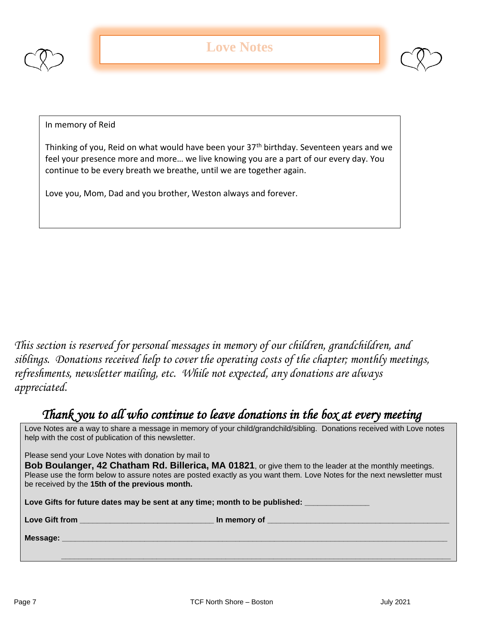



In memory of Reid

Thinking of you, Reid on what would have been your 37<sup>th</sup> birthday. Seventeen years and we feel your presence more and more… we live knowing you are a part of our every day. You continue to be every breath we breathe, until we are together again.

Love you, Mom, Dad and you brother, Weston always and forever.

*This section is reserved for personal messages in memory of our children, grandchildren, and siblings. Donations received help to cover the operating costs of the chapter; monthly meetings, refreshments, newsletter mailing, etc. While not expected, any donations are always appreciated.*

# *Thank you to all who continue to leave donations in the box at every meeting*

Love Notes are a way to share a message in memory of your child/grandchild/sibling. Donations received with Love notes help with the cost of publication of this newsletter.

Please send your Love Notes with donation by mail to

**Bob Boulanger, 42 Chatham Rd. Billerica, MA 01821**, or give them to the leader at the monthly meetings. Please use the form below to assure notes are posted exactly as you want them. Love Notes for the next newsletter must be received by the **15th of the previous month.** 

Love Gifts for future dates may be sent at any time; month to be published:

Love Gift from **Love Gift from Love Gift from** 

 **\_\_\_\_\_\_\_\_\_\_\_\_\_\_\_\_\_\_\_\_\_\_\_\_\_\_\_\_\_\_\_\_\_\_\_\_\_\_\_\_\_\_\_\_\_\_\_\_\_\_\_\_\_\_\_\_\_\_\_\_\_\_\_\_\_\_\_\_\_\_\_\_\_\_\_\_\_\_\_\_\_\_\_\_\_\_\_\_\_\_**

**Message: \_\_\_\_\_\_\_\_\_\_\_\_\_\_\_\_\_\_\_\_\_\_\_\_\_\_\_\_\_\_\_\_\_\_\_\_\_\_\_\_\_\_\_\_\_\_\_\_\_\_\_\_\_\_\_\_\_\_\_\_\_\_\_\_\_\_\_\_\_\_\_\_\_\_\_\_\_\_\_\_\_\_\_\_\_\_\_\_\_**